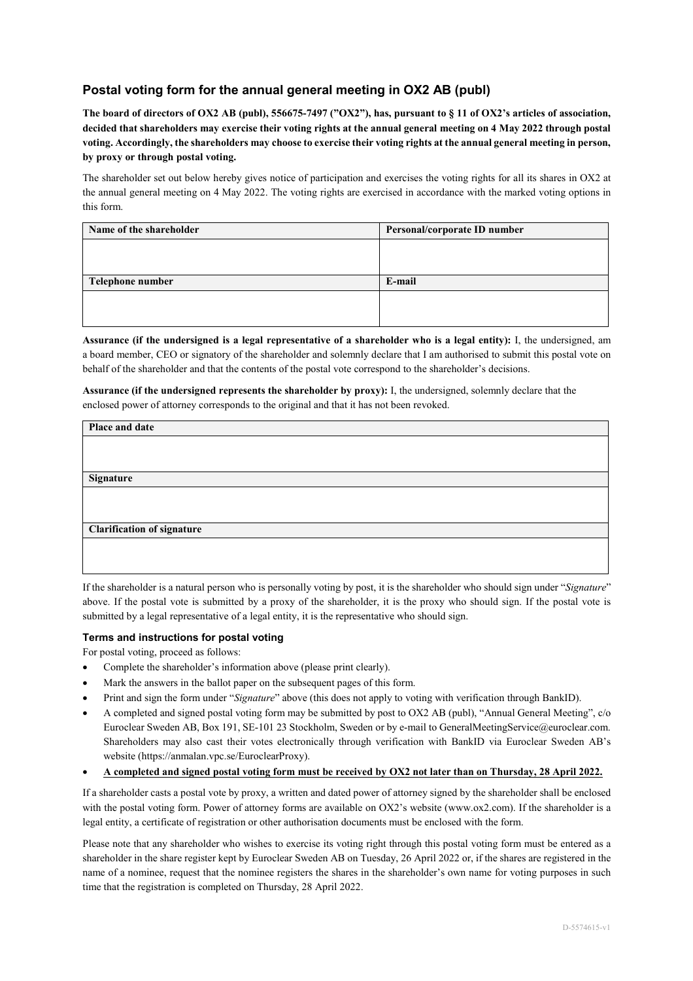## **Postal voting form for the annual general meeting in OX2 AB (publ)**

**The board of directors of OX2 AB (publ), 556675-7497 ("OX2"), has, pursuant to § 11 of OX2's articles of association, decided that shareholders may exercise their voting rights at the annual general meeting on 4 May 2022 through postal voting. Accordingly, the shareholders may choose to exercise their voting rights at the annual general meeting in person, by proxy or through postal voting.** 

The shareholder set out below hereby gives notice of participation and exercises the voting rights for all its shares in OX2 at the annual general meeting on 4 May 2022. The voting rights are exercised in accordance with the marked voting options in this form.

| Name of the shareholder | Personal/corporate ID number |  |
|-------------------------|------------------------------|--|
|                         |                              |  |
|                         |                              |  |
| Telephone number        | E-mail                       |  |
|                         |                              |  |
|                         |                              |  |

**Assurance (if the undersigned is a legal representative of a shareholder who is a legal entity):** I, the undersigned, am a board member, CEO or signatory of the shareholder and solemnly declare that I am authorised to submit this postal vote on behalf of the shareholder and that the contents of the postal vote correspond to the shareholder's decisions.

**Assurance (if the undersigned represents the shareholder by proxy):** I, the undersigned, solemnly declare that the enclosed power of attorney corresponds to the original and that it has not been revoked.

| Place and date                    |  |
|-----------------------------------|--|
|                                   |  |
|                                   |  |
| Signature                         |  |
|                                   |  |
|                                   |  |
| <b>Clarification of signature</b> |  |
|                                   |  |
|                                   |  |

If the shareholder is a natural person who is personally voting by post, it is the shareholder who should sign under "*Signature*" above. If the postal vote is submitted by a proxy of the shareholder, it is the proxy who should sign. If the postal vote is submitted by a legal representative of a legal entity, it is the representative who should sign.

## **Terms and instructions for postal voting**

For postal voting, proceed as follows:

- Complete the shareholder's information above (please print clearly).
- Mark the answers in the ballot paper on the subsequent pages of this form.
- Print and sign the form under "*Signature*" above (this does not apply to voting with verification through BankID).
- A completed and signed postal voting form may be submitted by post to OX2 AB (publ), "Annual General Meeting", c/o Euroclear Sweden AB, Box 191, SE-101 23 Stockholm, Sweden or by e-mail to GeneralMeetingService@euroclear.com. Shareholders may also cast their votes electronically through verification with BankID via Euroclear Sweden AB's website (https://anmalan.vpc.se/EuroclearProxy).
- **A completed and signed postal voting form must be received by OX2 not later than on Thursday, 28 April 2022.**

If a shareholder casts a postal vote by proxy, a written and dated power of attorney signed by the shareholder shall be enclosed with the postal voting form. Power of attorney forms are available on OX2's website (www.ox2.com). If the shareholder is a legal entity, a certificate of registration or other authorisation documents must be enclosed with the form.

Please note that any shareholder who wishes to exercise its voting right through this postal voting form must be entered as a shareholder in the share register kept by Euroclear Sweden AB on Tuesday, 26 April 2022 or, if the shares are registered in the name of a nominee, request that the nominee registers the shares in the shareholder's own name for voting purposes in such time that the registration is completed on Thursday, 28 April 2022.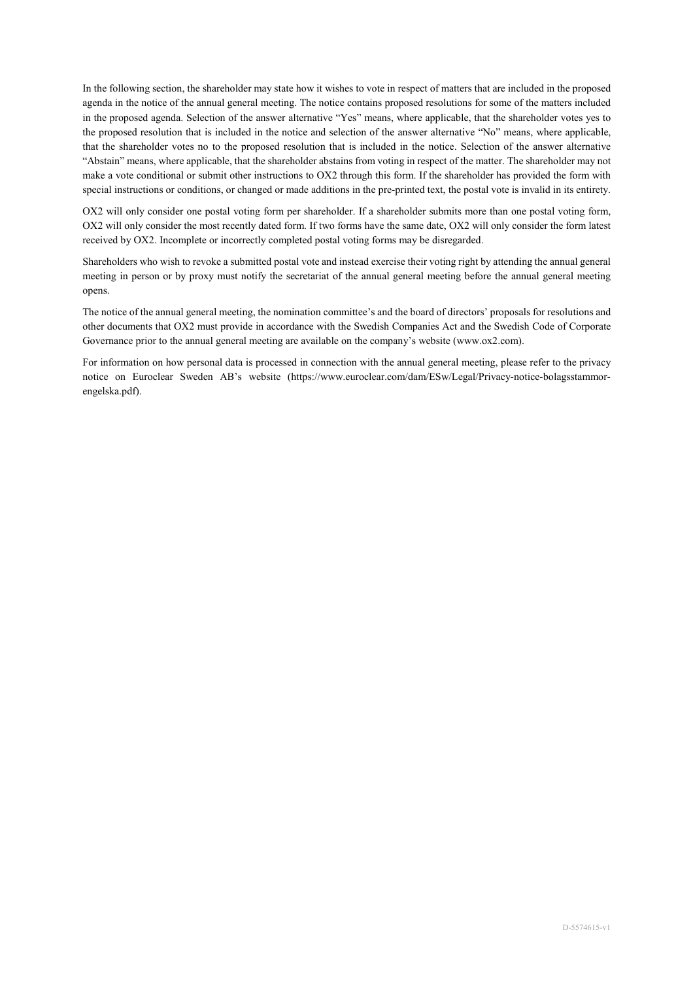In the following section, the shareholder may state how it wishes to vote in respect of matters that are included in the proposed agenda in the notice of the annual general meeting. The notice contains proposed resolutions for some of the matters included in the proposed agenda. Selection of the answer alternative "Yes" means, where applicable, that the shareholder votes yes to the proposed resolution that is included in the notice and selection of the answer alternative "No" means, where applicable, that the shareholder votes no to the proposed resolution that is included in the notice. Selection of the answer alternative "Abstain" means, where applicable, that the shareholder abstains from voting in respect of the matter. The shareholder may not make a vote conditional or submit other instructions to OX2 through this form. If the shareholder has provided the form with special instructions or conditions, or changed or made additions in the pre-printed text, the postal vote is invalid in its entirety.

OX2 will only consider one postal voting form per shareholder. If a shareholder submits more than one postal voting form, OX2 will only consider the most recently dated form. If two forms have the same date, OX2 will only consider the form latest received by OX2. Incomplete or incorrectly completed postal voting forms may be disregarded.

Shareholders who wish to revoke a submitted postal vote and instead exercise their voting right by attending the annual general meeting in person or by proxy must notify the secretariat of the annual general meeting before the annual general meeting opens.

The notice of the annual general meeting, the nomination committee's and the board of directors' proposals for resolutions and other documents that OX2 must provide in accordance with the Swedish Companies Act and the Swedish Code of Corporate Governance prior to the annual general meeting are available on the company's website (www.ox2.com).

For information on how personal data is processed in connection with the annual general meeting, please refer to the privacy notice on Euroclear Sweden AB's website (https://www.euroclear.com/dam/ESw/Legal/Privacy-notice-bolagsstammorengelska.pdf).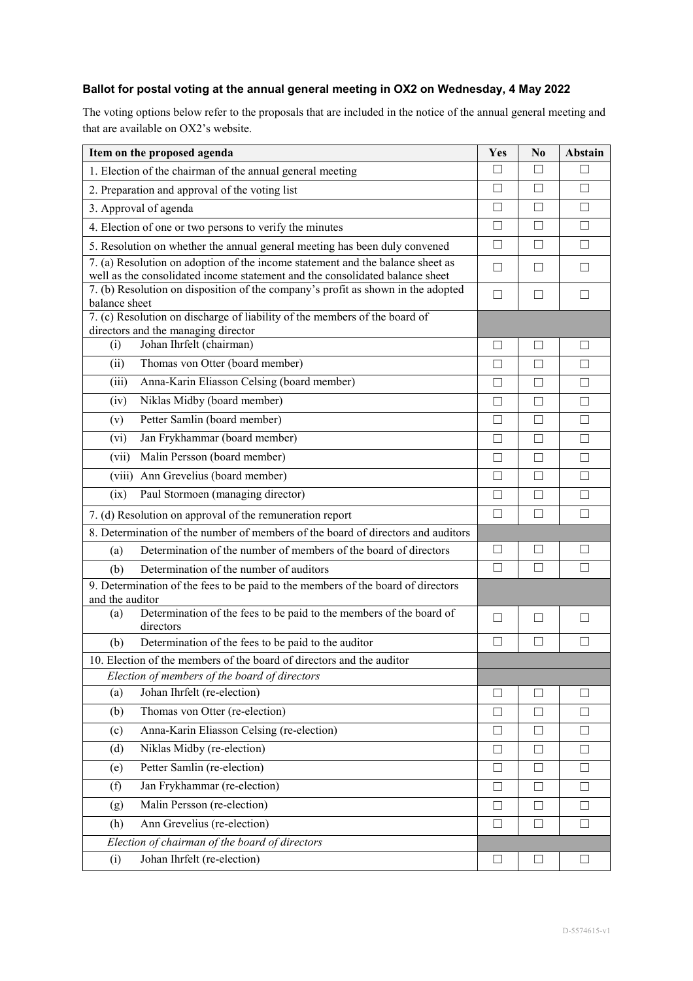## **Ballot for postal voting at the annual general meeting in OX2 on Wednesday, 4 May 2022**

The voting options below refer to the proposals that are included in the notice of the annual general meeting and that are available on OX2's website.

| Item on the proposed agenda                                                                         | Yes          | N0     | Abstain           |
|-----------------------------------------------------------------------------------------------------|--------------|--------|-------------------|
| 1. Election of the chairman of the annual general meeting                                           |              | ∐      |                   |
| 2. Preparation and approval of the voting list                                                      |              | $\Box$ | $\Box$            |
| 3. Approval of agenda                                                                               | $\mathsf{L}$ | П      | П                 |
| 4. Election of one or two persons to verify the minutes                                             | П            | □      | П                 |
| 5. Resolution on whether the annual general meeting has been duly convened                          | □            | $\Box$ | П                 |
| 7. (a) Resolution on adoption of the income statement and the balance sheet as                      | $\perp$      | Ш      | $\Box$            |
| well as the consolidated income statement and the consolidated balance sheet                        |              |        |                   |
| 7. (b) Resolution on disposition of the company's profit as shown in the adopted<br>balance sheet   | $\Box$       | П      | П                 |
| 7. (c) Resolution on discharge of liability of the members of the board of                          |              |        |                   |
| directors and the managing director                                                                 |              |        |                   |
| Johan Ihrfelt (chairman)<br>(i)                                                                     | $\mathsf{L}$ | L      |                   |
| Thomas von Otter (board member)<br>(ii)                                                             | П            | П      | $\Box$            |
| Anna-Karin Eliasson Celsing (board member)<br>(iii)                                                 | П            | $\Box$ | П                 |
| Niklas Midby (board member)<br>(iv)                                                                 | $\Box$       | $\Box$ | П                 |
| Petter Samlin (board member)<br>(v)                                                                 | П            | П      | П                 |
| Jan Frykhammar (board member)<br>(vi)                                                               | П            | $\Box$ | П                 |
| Malin Persson (board member)<br>(vii)                                                               | □            | $\Box$ | $\Box$            |
| (viii) Ann Grevelius (board member)                                                                 | П            | П      | П                 |
| Paul Stormoen (managing director)<br>(ix)                                                           | П            | П      | П                 |
| 7. (d) Resolution on approval of the remuneration report                                            | $\Box$       | П      | П                 |
| 8. Determination of the number of members of the board of directors and auditors                    |              |        |                   |
| Determination of the number of members of the board of directors<br>(a)                             | $\Box$       | □      | $\vert \ \ \vert$ |
| Determination of the number of auditors<br>(b)                                                      | П            | П      | $\mathsf{L}$      |
| 9. Determination of the fees to be paid to the members of the board of directors<br>and the auditor |              |        |                   |
| Determination of the fees to be paid to the members of the board of<br>(a)<br>directors             | П            | $\Box$ | $\Box$            |
| Determination of the fees to be paid to the auditor<br>(b)                                          | $\Box$       | □      | $\mathsf{L}$      |
| 10. Election of the members of the board of directors and the auditor                               |              |        |                   |
| Election of members of the board of directors                                                       |              |        |                   |
| Johan Ihrfelt (re-election)<br>(a)                                                                  | $\mathsf{L}$ | $\Box$ | $\mathsf{L}$      |
| Thomas von Otter (re-election)<br>(b)                                                               | $\Box$       | $\Box$ | $\Box$            |
| Anna-Karin Eliasson Celsing (re-election)<br>(c)                                                    | П            | П      | $\Box$            |
| Niklas Midby (re-election)<br>(d)                                                                   | П            | Ш      | ப                 |
| Petter Samlin (re-election)<br>(e)                                                                  | $\Box$       | $\Box$ | $\Box$            |
| Jan Frykhammar (re-election)<br>(f)                                                                 | П            | П      | $\Box$            |
| Malin Persson (re-election)<br>(g)                                                                  | □            | Ш      | $\Box$            |
| Ann Grevelius (re-election)<br>(h)                                                                  | $\Box$       | П      | $\Box$            |
| Election of chairman of the board of directors                                                      |              |        |                   |
| Johan Ihrfelt (re-election)<br>(i)                                                                  | ப            | $\Box$ | ப                 |